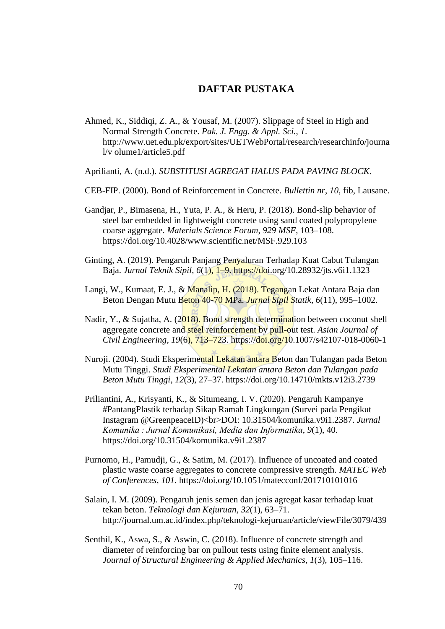## **DAFTAR PUSTAKA**

- Ahmed, K., Siddiqi, Z. A., & Yousaf, M. (2007). Slippage of Steel in High and Normal Strength Concrete. *Pak. J. Engg. & Appl. Sci.*, *1*. http://www.uet.edu.pk/export/sites/UETWebPortal/research/researchinfo/journa l/v olume1/article5.pdf
- Aprilianti, A. (n.d.). *SUBSTITUSI AGREGAT HALUS PADA PAVING BLOCK*.
- CEB-FIP. (2000). Bond of Reinforcement in Concrete. *Bullettin nr*, *10*, fib, Lausane.
- Gandjar, P., Bimasena, H., Yuta, P. A., & Heru, P. (2018). Bond-slip behavior of steel bar embedded in lightweight concrete using sand coated polypropylene coarse aggregate. *Materials Science Forum*, *929 MSF*, 103–108. https://doi.org/10.4028/www.scientific.net/MSF.929.103
- Ginting, A. (2019). Pengaruh Panjang Penyaluran Terhadap Kuat Cabut Tulangan Baja. *Jurnal Teknik Sipil*, *6*(1), 1–9. https://doi.org/10.28932/jts.v6i1.1323
- Langi, W., Kumaat, E. J., & Manalip, H. (2018). Tegangan Lekat Antara Baja dan Beton Dengan Mutu Beton 40-70 MPa. *Jurnal Sipil Statik*, *6*(11), 995–1002.
- Nadir, Y., & Sujatha, A. (2018). Bond strength determination between coconut shell aggregate concrete and steel reinforcement by pull-out test. *Asian Journal of Civil Engineering*, *19*(6), 713–723. https://doi.org/10.1007/s42107-018-0060-1
- Nuroji. (2004). Studi Eksperimental Lekatan antara Beton dan Tulangan pada Beton Mutu Tinggi. *Studi Eksperimental Lekatan antara Beton dan Tulangan pada Beton Mutu Tinggi*, *12*(3), 27–37. https://doi.org/10.14710/mkts.v12i3.2739
- Priliantini, A., Krisyanti, K., & Situmeang, I. V. (2020). Pengaruh Kampanye #PantangPlastik terhadap Sikap Ramah Lingkungan (Survei pada Pengikut Instagram @GreenpeaceID)<br>DOI: 10.31504/komunika.v9i1.2387. *Jurnal Komunika : Jurnal Komunikasi, Media dan Informatika*, *9*(1), 40. https://doi.org/10.31504/komunika.v9i1.2387
- Purnomo, H., Pamudji, G., & Satim, M. (2017). Influence of uncoated and coated plastic waste coarse aggregates to concrete compressive strength. *MATEC Web of Conferences*, *101*. https://doi.org/10.1051/matecconf/201710101016
- Salain, I. M. (2009). Pengaruh jenis semen dan jenis agregat kasar terhadap kuat tekan beton. *Teknologi dan Kejuruan*, *32*(1), 63–71. http://journal.um.ac.id/index.php/teknologi-kejuruan/article/viewFile/3079/439
- Senthil, K., Aswa, S., & Aswin, C. (2018). Influence of concrete strength and diameter of reinforcing bar on pullout tests using finite element analysis. *Journal of Structural Engineering & Applied Mechanics*, *1*(3), 105–116.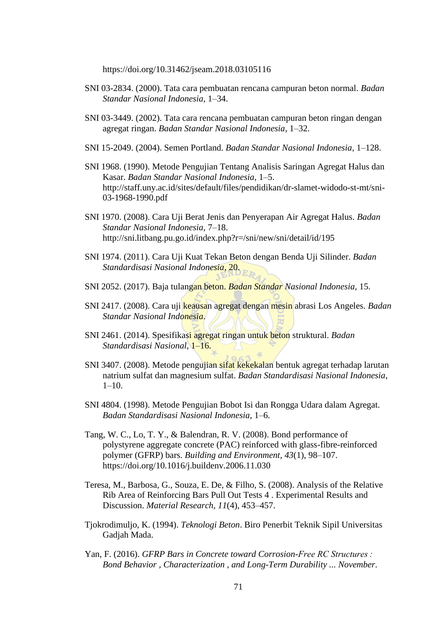https://doi.org/10.31462/jseam.2018.03105116

- SNI 03-2834. (2000). Tata cara pembuatan rencana campuran beton normal. *Badan Standar Nasional Indonesia*, 1–34.
- SNI 03-3449. (2002). Tata cara rencana pembuatan campuran beton ringan dengan agregat ringan. *Badan Standar Nasional Indonesia*, 1–32.
- SNI 15-2049. (2004). Semen Portland. *Badan Standar Nasional Indonesia*, 1–128.
- SNI 1968. (1990). Metode Pengujian Tentang Analisis Saringan Agregat Halus dan Kasar. *Badan Standar Nasional Indonesia*, 1–5. http://staff.uny.ac.id/sites/default/files/pendidikan/dr-slamet-widodo-st-mt/sni-03-1968-1990.pdf
- SNI 1970. (2008). Cara Uji Berat Jenis dan Penyerapan Air Agregat Halus. *Badan Standar Nasional Indonesia*, 7–18. http://sni.litbang.pu.go.id/index.php?r=/sni/new/sni/detail/id/195
- SNI 1974. (2011). Cara Uji Kuat Tekan Beton dengan Benda Uji Silinder. *Badan Standardisasi Nasional Indonesia*, 20.
- SNI 2052. (2017). Baja tulangan beton. *Badan Standar Nasional Indonesia*, 15.
- SNI 2417. (2008). Cara uji keausan agregat dengan mesin abrasi Los Angeles. *Badan Standar Nasional Indonesia*.
- SNI 2461. (2014). Spesifikasi agregat ringan untuk beton struktural. *Badan Standardisasi Nasional*, 1–16.
- SNI 3407. (2008). Metode pengujian sifat kekekalan bentuk agregat terhadap larutan natrium sulfat dan magnesium sulfat. *Badan Standardisasi Nasional Indonesia*,  $1-10$ .
- SNI 4804. (1998). Metode Pengujian Bobot Isi dan Rongga Udara dalam Agregat. *Badan Standardisasi Nasional Indonesia*, 1–6.
- Tang, W. C., Lo, T. Y., & Balendran, R. V. (2008). Bond performance of polystyrene aggregate concrete (PAC) reinforced with glass-fibre-reinforced polymer (GFRP) bars. *Building and Environment*, *43*(1), 98–107. https://doi.org/10.1016/j.buildenv.2006.11.030
- Teresa, M., Barbosa, G., Souza, E. De, & Filho, S. (2008). Analysis of the Relative Rib Area of Reinforcing Bars Pull Out Tests 4 . Experimental Results and Discussion. *Material Research*, *11*(4), 453–457.
- Tjokrodimuljo, K. (1994). *Teknologi Beton*. Biro Penerbit Teknik Sipil Universitas Gadjah Mada.
- Yan, F. (2016). *GFRP Bars in Concrete toward Corrosion-Free RC Structures : Bond Behavior , Characterization , and Long-Term Durability ... November*.